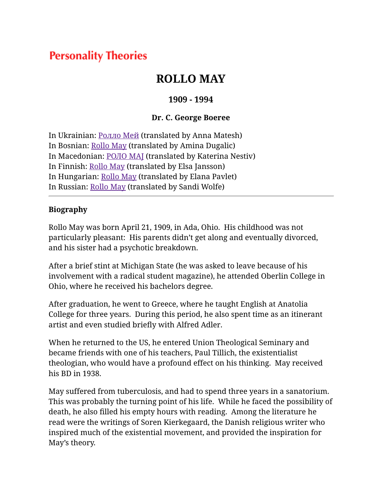## **Personality Theories**

# **ROLLO MAY**

## **1909 - 1994**

### **Dr. C. George Boeree**

In Ukrainian: [Ролло Мей](http://eustudiesweb.com/rollo-may//) (translated by Anna Matesh) In Bosnian: [Rollo May](http://the-sciences.com/2017/01/17/teorije-licnosti/) (translated by Amina Dugalic) In Macedonian: [РОЛО МАЈ](http://sciencevobe.com/2017/01/17/rollo-may/) (translated by Katerina Nestiv) In Finnish: [Rollo May](http://mysciencefeel.com/2017/01/30/persoonallisuus-teoriat-rollo-may/) (translated by Elsa Jansson) In Hungarian: [Rollo May](http://sc-journal.com/rollo-may/) (translated by Elana Pavlet) In Russian: [Rollo May](http://www.opensourceinitiative.net/edu/cgboer/) (translated by Sandi Wolfe)

#### **Biography**

Rollo May was born April 21, 1909, in Ada, Ohio. His childhood was not particularly pleasant: His parents didn't get along and eventually divorced, and his sister had a psychotic breakdown.

After a brief stint at Michigan State (he was asked to leave because of his involvement with a radical student magazine), he attended Oberlin College in Ohio, where he received his bachelors degree.

After graduation, he went to Greece, where he taught English at Anatolia College for three years. During this period, he also spent time as an itinerant artist and even studied briefly with Alfred Adler.

When he returned to the US, he entered Union Theological Seminary and became friends with one of his teachers, Paul Tillich, the existentialist theologian, who would have a profound effect on his thinking. May received his BD in 1938.

May suffered from tuberculosis, and had to spend three years in a sanatorium. This was probably the turning point of his life. While he faced the possibility of death, he also filled his empty hours with reading. Among the literature he read were the writings of Soren Kierkegaard, the Danish religious writer who inspired much of the existential movement, and provided the inspiration for May's theory.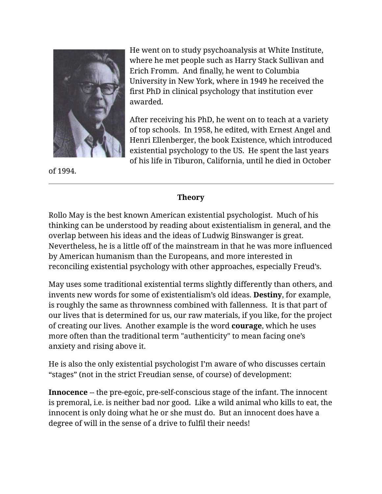

He went on to study psychoanalysis at White Institute, where he met people such as Harry Stack Sullivan and Erich Fromm. And finally, he went to Columbia University in New York, where in 1949 he received the first PhD in clinical psychology that institution ever awarded.

After receiving his PhD, he went on to teach at a variety of top schools. In 1958, he edited, with Ernest Angel and Henri Ellenberger, the book Existence, which introduced existential psychology to the US. He spent the last years of his life in Tiburon, California, until he died in October

of 1994.

## **Theory**

Rollo May is the best known American existential psychologist. Much of his thinking can be understood by reading about existentialism in general, and the overlap between his ideas and the ideas of Ludwig Binswanger is great. Nevertheless, he is a little off of the mainstream in that he was more influenced by American humanism than the Europeans, and more interested in reconciling existential psychology with other approaches, especially Freud's.

May uses some traditional existential terms slightly differently than others, and invents new words for some of existentialism's old ideas. **Destiny**, for example, is roughly the same as thrownness combined with fallenness. It is that part of our lives that is determined for us, our raw materials, if you like, for the project of creating our lives. Another example is the word **courage**, which he uses more often than the traditional term "authenticity" to mean facing one's anxiety and rising above it.

He is also the only existential psychologist I'm aware of who discusses certain "stages" (not in the strict Freudian sense, of course) of development:

**Innocence** -- the pre-egoic, pre-self-conscious stage of the infant. The innocent is premoral, i.e. is neither bad nor good. Like a wild animal who kills to eat, the innocent is only doing what he or she must do. But an innocent does have a degree of will in the sense of a drive to fulfil their needs!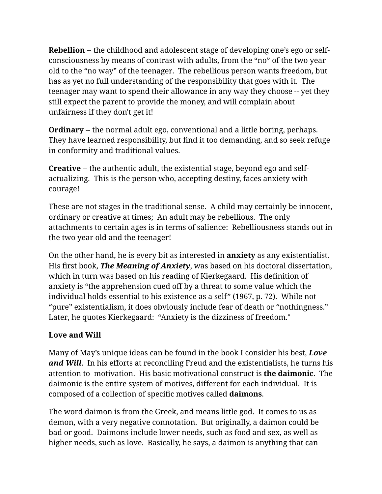**Rebellion** -- the childhood and adolescent stage of developing one's ego or selfconsciousness by means of contrast with adults, from the "no" of the two year old to the "no way" of the teenager. The rebellious person wants freedom, but has as yet no full understanding of the responsibility that goes with it. The teenager may want to spend their allowance in any way they choose -- yet they still expect the parent to provide the money, and will complain about unfairness if they don't get it!

**Ordinary** -- the normal adult ego, conventional and a little boring, perhaps. They have learned responsibility, but find it too demanding, and so seek refuge in conformity and traditional values.

**Creative** -- the authentic adult, the existential stage, beyond ego and selfactualizing. This is the person who, accepting destiny, faces anxiety with courage!

These are not stages in the traditional sense. A child may certainly be innocent, ordinary or creative at times; An adult may be rebellious. The only attachments to certain ages is in terms of salience: Rebelliousness stands out in the two year old and the teenager!

On the other hand, he is every bit as interested in **anxiety** as any existentialist. His first book, *The Meaning of Anxiety*, was based on his doctoral dissertation, which in turn was based on his reading of Kierkegaard. His definition of anxiety is "the apprehension cued off by a threat to some value which the individual holds essential to his existence as a self" (1967, p. 72). While not "pure" existentialism, it does obviously include fear of death or "nothingness." Later, he quotes Kierkegaard: "Anxiety is the dizziness of freedom."

#### **Love and Will**

Many of May's unique ideas can be found in the book I consider his best, *Love and Will*. In his efforts at reconciling Freud and the existentialists, he turns his attention to motivation. His basic motivational construct is **the daimonic**. The daimonic is the entire system of motives, different for each individual. It is composed of a collection of specific motives called **daimons**.

The word daimon is from the Greek, and means little god. It comes to us as demon, with a very negative connotation. But originally, a daimon could be bad or good. Daimons include lower needs, such as food and sex, as well as higher needs, such as love. Basically, he says, a daimon is anything that can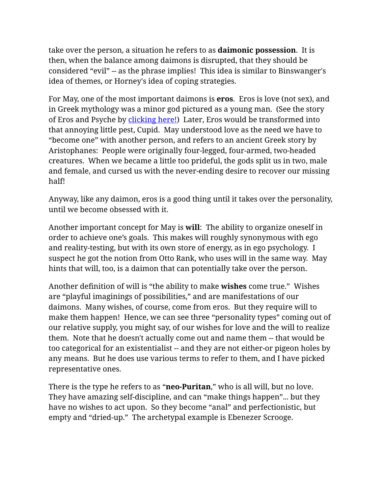take over the person, a situation he refers to as **daimonic possession**. It is then, when the balance among daimons is disrupted, that they should be considered "evil" -- as the phrase implies! This idea is similar to Binswanger's idea of themes, or Horney's idea of coping strategies.

For May, one of the most important daimons is **eros**. Eros is love (not sex), and in Greek mythology was a minor god pictured as a young man. (See the story of Eros and Psyche by [clicking here!\)](http://www.ship.edu/~psych/psyche.html) Later, Eros would be transformed into that annoying little pest, Cupid. May understood love as the need we have to "become one" with another person, and refers to an ancient Greek story by Aristophanes: People were originally four-legged, four-armed, two-headed creatures. When we became a little too prideful, the gods split us in two, male and female, and cursed us with the never-ending desire to recover our missing half!

Anyway, like any daimon, eros is a good thing until it takes over the personality, until we become obsessed with it.

Another important concept for May is **will**: The ability to organize oneself in order to achieve one's goals. This makes will roughly synonymous with ego and reality-testing, but with its own store of energy, as in ego psychology. I suspect he got the notion from Otto Rank, who uses will in the same way. May hints that will, too, is a daimon that can potentially take over the person.

Another definition of will is "the ability to make **wishes** come true." Wishes are "playful imaginings of possibilities," and are manifestations of our daimons. Many wishes, of course, come from eros. But they require will to make them happen! Hence, we can see three "personality types" coming out of our relative supply, you might say, of our wishes for love and the will to realize them. Note that he doesn't actually come out and name them -- that would be too categorical for an existentialist -- and they are not either-or pigeon holes by any means. But he does use various terms to refer to them, and I have picked representative ones.

There is the type he refers to as "**neo-Puritan**," who is all will, but no love. They have amazing self-discipline, and can "make things happen"... but they have no wishes to act upon. So they become "anal" and perfectionistic, but empty and "dried-up." The archetypal example is Ebenezer Scrooge.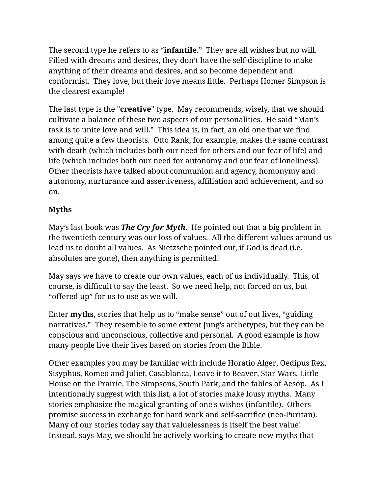The second type he refers to as "**infantile**." They are all wishes but no will. Filled with dreams and desires, they don't have the self-discipline to make anything of their dreams and desires, and so become dependent and conformist. They love, but their love means little. Perhaps Homer Simpson is the clearest example!

The last type is the "**creative**" type. May recommends, wisely, that we should cultivate a balance of these two aspects of our personalities. He said "Man's task is to unite love and will." This idea is, in fact, an old one that we find among quite a few theorists. Otto Rank, for example, makes the same contrast with death (which includes both our need for others and our fear of life) and life (which includes both our need for autonomy and our fear of loneliness). Other theorists have talked about communion and agency, homonymy and autonomy, nurturance and assertiveness, affiliation and achievement, and so on.

## **Myths**

May's last book was *The Cry for Myth*. He pointed out that a big problem in the twentieth century was our loss of values. All the different values around us lead us to doubt all values. As Nietzsche pointed out, if God is dead (i.e. absolutes are gone), then anything is permitted!

May says we have to create our own values, each of us individually. This, of course, is difficult to say the least. So we need help, not forced on us, but "offered up" for us to use as we will.

Enter **myths**, stories that help us to "make sense" out of out lives, "guiding narratives." They resemble to some extent Jung's archetypes, but they can be conscious and unconscious, collective and personal. A good example is how many people live their lives based on stories from the Bible.

Other examples you may be familiar with include Horatio Alger, Oedipus Rex, Sisyphus, Romeo and Juliet, Casablanca, Leave it to Beaver, Star Wars, Little House on the Prairie, The Simpsons, South Park, and the fables of Aesop. As I intentionally suggest with this list, a lot of stories make lousy myths. Many stories emphasize the magical granting of one's wishes (infantile). Others promise success in exchange for hard work and self-sacrifice (neo-Puritan). Many of our stories today say that valuelessness is itself the best value! Instead, says May, we should be actively working to create new myths that